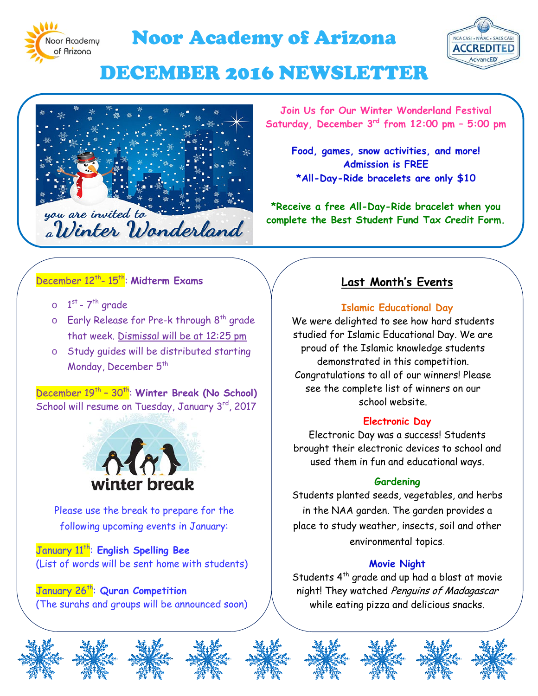

# Noor Academy of Arizona



# DECEMBER 2016 NEWSLETTER



**Join Us for Our Winter Wonderland Festival Saturday, December 3rd from 12:00 pm – 5:00 pm**

**Food, games, snow activities, and more! Admission is FREE \*All-Day-Ride bracelets are only \$10**

**\*Receive a free All-Day-Ride bracelet when you complete the Best Student Fund Tax Credit Form.**

## December 12th- 15th: **Midterm Exams**

- $\circ$  1<sup>st</sup> 7<sup>th</sup> grade
- $\circ$  Early Release for Pre-k through  $8^{th}$  grade that week. Dismissal will be at 12:25 pm
- o Study guides will be distributed starting Monday, December 5<sup>th</sup>

December 19<sup>th</sup> - 30<sup>th</sup>: Winter Break (No School) School will resume on Tuesday, January 3<sup>rd</sup>, 2017



Please use the break to prepare for the following upcoming events in January:

January 11th: **English Spelling Bee** (List of words will be sent home with students)

January 26th: **Quran Competition** (The surahs and groups will be announced soon)

# **Last Month's Events**

#### **Islamic Educational Day**

We were delighted to see how hard students studied for Islamic Educational Day. We are proud of the Islamic knowledge students demonstrated in this competition. Congratulations to all of our winners! Please see the complete list of winners on our school website.

#### **Electronic Day**

Electronic Day was a success! Students brought their electronic devices to school and used them in fun and educational ways.

#### **Gardening**

Students planted seeds, vegetables, and herbs in the NAA garden. The garden provides a place to study weather, insects, soil and other environmental topics.

#### **Movie Night**

Students 4<sup>th</sup> grade and up had a blast at movie night! They watched Penguins of Madagascar while eating pizza and delicious snacks.